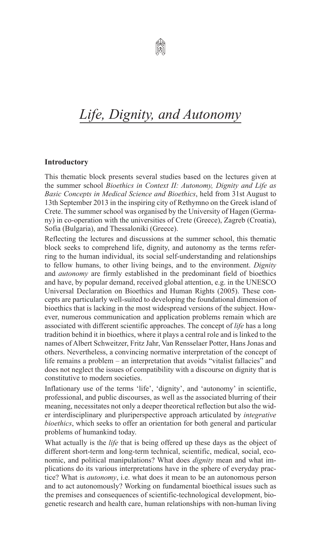

## *Life, Dignity, and Autonomy*

## **Introductory**

This thematic block presents several studies based on the lectures given at the summer school *Bioethics in Context II: Autonomy, Dignity and Life as Basic Concepts in Medical Science and Bioethics*, held from 31st August to 13th September 2013 in the inspiring city of Rethymno on the Greek island of Crete. The summer school was organised by the University of Hagen (Germany) in co-operation with the universities of Crete (Greece), Zagreb (Croatia), Sofia (Bulgaria), and Thessaloniki (Greece).

Reflecting the lectures and discussions at the summer school, this thematic block seeks to comprehend life, dignity, and autonomy as the terms referring to the human individual, its social self-understanding and relationships to fellow humans, to other living beings, and to the environment. *Dignity* and *autonomy* are firmly established in the predominant field of bioethics and have, by popular demand, received global attention, e.g. in the UNESCO Universal Declaration on Bioethics and Human Rights (2005). These concepts are particularly well-suited to developing the foundational dimension of bioethics that is lacking in the most widespread versions of the subject. However, numerous communication and application problems remain which are associated with different scientific approaches. The concept of *life* has a long tradition behind it in bioethics, where it plays a central role and is linked to the names of Albert Schweitzer, Fritz Jahr, Van Rensselaer Potter, Hans Jonas and others. Nevertheless, a convincing normative interpretation of the concept of life remains a problem – an interpretation that avoids "vitalist fallacies" and does not neglect the issues of compatibility with a discourse on dignity that is constitutive to modern societies.

Inflationary use of the terms 'life', 'dignity', and 'autonomy' in scientific, professional, and public discourses, as well as the associated blurring of their meaning, necessitates not only a deeper theoretical reflection but also the wider interdisciplinary and pluriperspective approach articulated by *integrative bioethics*, which seeks to offer an orientation for both general and particular problems of humankind today.

What actually is the *life* that is being offered up these days as the object of different short-term and long-term technical, scientific, medical, social, economic, and political manipulations? What does *dignity* mean and what implications do its various interpretations have in the sphere of everyday practice? What is *autonomy*, i.e. what does it mean to be an autonomous person and to act autonomously? Working on fundamental bioethical issues such as the premises and consequences of scientific-technological development, biogenetic research and health care, human relationships with non-human living